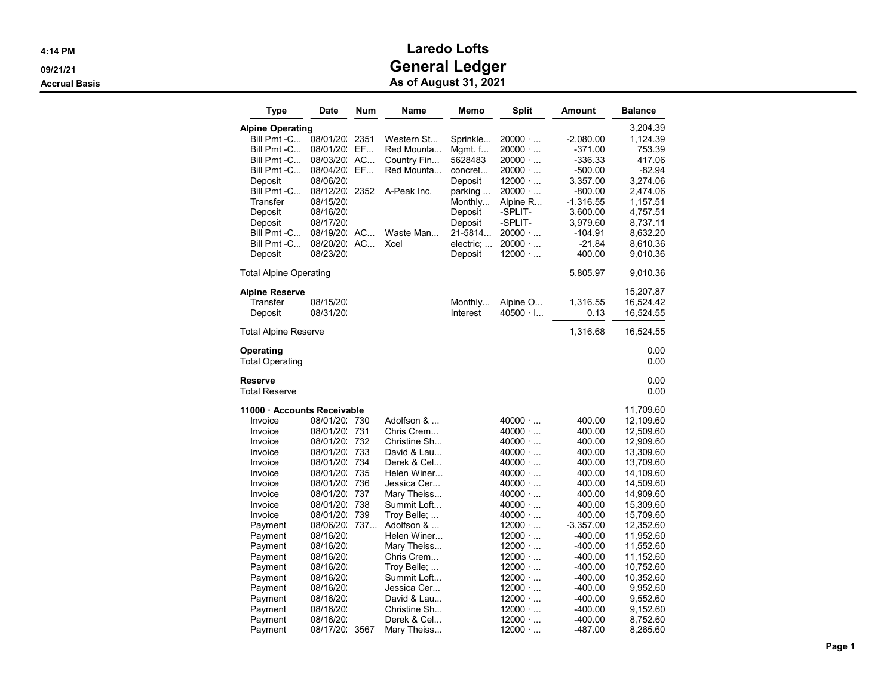| <b>Date</b>                                                                                                                                                                                                                                      | Num                                                                   | Name                                                                                                                                                                                                                                                                                                   | Memo                                                                                                                                | <b>Split</b>                                                                                                                                                                                                                                                                                                                                                         | Amount                                                                                                                                                                                                                     | <b>Balance</b>                                                                                                                                                                                                                                                            |
|--------------------------------------------------------------------------------------------------------------------------------------------------------------------------------------------------------------------------------------------------|-----------------------------------------------------------------------|--------------------------------------------------------------------------------------------------------------------------------------------------------------------------------------------------------------------------------------------------------------------------------------------------------|-------------------------------------------------------------------------------------------------------------------------------------|----------------------------------------------------------------------------------------------------------------------------------------------------------------------------------------------------------------------------------------------------------------------------------------------------------------------------------------------------------------------|----------------------------------------------------------------------------------------------------------------------------------------------------------------------------------------------------------------------------|---------------------------------------------------------------------------------------------------------------------------------------------------------------------------------------------------------------------------------------------------------------------------|
| 08/01/20:<br>08/03/20.<br>08/04/20.<br>08/06/20<br>08/12/20.<br>08/15/20<br>08/16/20.<br>08/17/20<br>08/19/20.<br>08/20/20.<br>08/23/20                                                                                                          | 2351<br>EF<br>AC<br>EF<br>2352<br>AC                                  | Western St<br>Red Mounta<br>Country Fin<br>Red Mounta<br>A-Peak Inc.<br>Waste Man<br>Xcel                                                                                                                                                                                                              | Sprinkle<br>Mgmt. f<br>5628483<br>concret<br>Deposit<br>parking<br>Monthly<br>Deposit<br>Deposit<br>21-5814<br>electric;<br>Deposit | $20000 \cdot $<br>$20000 \cdot $<br>$20000 \cdot $<br>$20000 \cdot $<br>$12000 \cdot $<br>$20000 \cdot $<br>Alpine R<br>-SPLIT-<br>-SPLIT-<br>$20000 \cdot $<br>$20000 \cdot $<br>$12000 \cdot $                                                                                                                                                                     | $-2,080.00$<br>-371.00<br>-336.33<br>-500.00<br>3,357.00<br>-800.00<br>$-1,316.55$<br>3,600.00<br>3,979.60<br>-104.91<br>-21.84<br>400.00                                                                                  | 3,204.39<br>1,124.39<br>753.39<br>417.06<br>-82.94<br>3,274.06<br>2,474.06<br>1,157.51<br>4,757.51<br>8,737.11<br>8,632.20<br>8,610.36<br>9,010.36                                                                                                                        |
|                                                                                                                                                                                                                                                  |                                                                       |                                                                                                                                                                                                                                                                                                        |                                                                                                                                     |                                                                                                                                                                                                                                                                                                                                                                      | 5,805.97                                                                                                                                                                                                                   | 9,010.36                                                                                                                                                                                                                                                                  |
| 08/15/20<br>08/31/20:                                                                                                                                                                                                                            |                                                                       |                                                                                                                                                                                                                                                                                                        | Monthly<br>Interest                                                                                                                 | Alpine O<br>$40500 \cdot 1$                                                                                                                                                                                                                                                                                                                                          | 1,316.55<br>0.13                                                                                                                                                                                                           | 15,207.87<br>16,524.42<br>16,524.55                                                                                                                                                                                                                                       |
| 1,316.68<br>Total Alpine Reserve                                                                                                                                                                                                                 |                                                                       |                                                                                                                                                                                                                                                                                                        |                                                                                                                                     |                                                                                                                                                                                                                                                                                                                                                                      |                                                                                                                                                                                                                            | 16,524.55                                                                                                                                                                                                                                                                 |
|                                                                                                                                                                                                                                                  |                                                                       |                                                                                                                                                                                                                                                                                                        |                                                                                                                                     |                                                                                                                                                                                                                                                                                                                                                                      |                                                                                                                                                                                                                            | 0.00<br>0.00                                                                                                                                                                                                                                                              |
|                                                                                                                                                                                                                                                  |                                                                       |                                                                                                                                                                                                                                                                                                        |                                                                                                                                     |                                                                                                                                                                                                                                                                                                                                                                      |                                                                                                                                                                                                                            | 0.00<br>0.00                                                                                                                                                                                                                                                              |
| 08/01/20:<br>08/01/20:<br>08/01/20:<br>08/01/20:<br>08/01/20:<br>08/01/20:<br>08/01/20:<br>08/01/20:<br>08/01/20:<br>08/06/20.<br>08/16/20:<br>08/16/20<br>08/16/20<br>08/16/20:<br>08/16/20:<br>08/16/20:<br>08/16/20:<br>08/16/20:<br>08/16/20 | 731<br>732<br>733<br>734<br>735<br>736<br>737<br>738<br>739<br>737    | Adolfson &<br>Chris Crem<br>Christine Sh<br>David & Lau<br>Derek & Cel<br>Helen Winer<br>Jessica Cer<br>Mary Theiss<br>Summit Loft<br>Troy Belle;<br>Adolfson &<br>Helen Winer<br>Mary Theiss<br>Chris Crem<br>Troy Belle;<br>Summit Loft<br>Jessica Cer<br>David & Lau<br>Christine Sh<br>Derek & Cel |                                                                                                                                     | $40000 \cdot $<br>$40000 \cdot $<br>$40000 \cdot $<br>$40000 \cdot $<br>$40000 \cdot $<br>$40000 \cdot $<br>$40000 \cdot $<br>$40000 \cdot $<br>$40000 \cdot $<br>$40000 \cdot $<br>$12000 \cdot $<br>$12000 \cdot $<br>$12000 \cdot $<br>$12000 \cdot $<br>$12000 \cdot $<br>$12000 \cdot $<br>$12000 \cdot $<br>$12000 \cdot $<br>$12000 \cdot $<br>$12000 \cdot $ | 400.00<br>400.00<br>400.00<br>400.00<br>400.00<br>400.00<br>400.00<br>400.00<br>400.00<br>400.00<br>$-3,357.00$<br>-400.00<br>-400.00<br>$-400.00$<br>-400.00<br>$-400.00$<br>-400.00<br>$-400.00$<br>-400.00<br>$-400.00$ | 11,709.60<br>12,109.60<br>12,509.60<br>12,909.60<br>13,309.60<br>13,709.60<br>14,109.60<br>14,509.60<br>14,909.60<br>15,309.60<br>15,709.60<br>12,352.60<br>11,952.60<br>11,552.60<br>11,152.60<br>10,752.60<br>10,352.60<br>9,952.60<br>9,552.60<br>9,152.60<br>8,752.60 |
|                                                                                                                                                                                                                                                  | <b>Alpine Operating</b><br><b>Total Alpine Operating</b><br>08/17/20. | 08/01/20.<br>AC<br>11000 Accounts Receivable<br>08/01/20: 730<br>3567                                                                                                                                                                                                                                  | Mary Theiss                                                                                                                         |                                                                                                                                                                                                                                                                                                                                                                      | $12000 \cdot $                                                                                                                                                                                                             | -487.00                                                                                                                                                                                                                                                                   |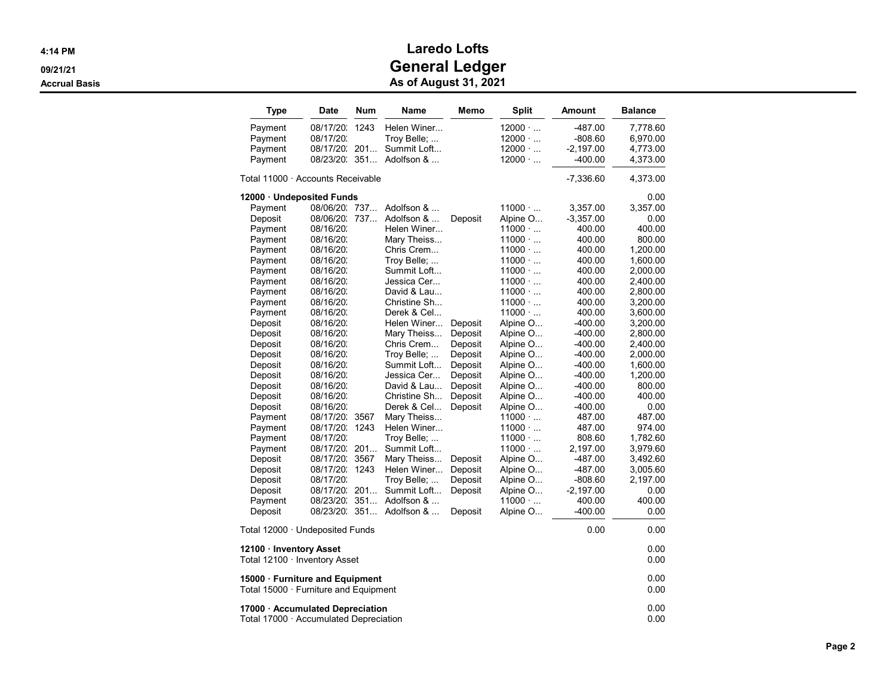| <b>Type</b>                                                                | <b>Date</b>   | <b>Num</b> | Name         | Memo    | <b>Split</b>   | Amount      | <b>Balance</b> |  |  |
|----------------------------------------------------------------------------|---------------|------------|--------------|---------|----------------|-------------|----------------|--|--|
| Payment                                                                    | 08/17/20.     | 1243       | Helen Winer  |         | $12000 \cdot $ | -487.00     | 7,778.60       |  |  |
| Payment                                                                    | 08/17/20:     |            | Troy Belle;  |         | $12000 \cdot $ | -808.60     | 6,970.00       |  |  |
| Payment                                                                    | 08/17/20.     | 201        | Summit Loft  |         | $12000 \cdot $ | $-2,197.00$ | 4,773.00       |  |  |
| Payment                                                                    | 08/23/20.     | 351        | Adolfson &   |         | $12000 \cdot $ | -400.00     | 4,373.00       |  |  |
| Total 11000 · Accounts Receivable                                          |               |            |              |         |                | $-7,336.60$ | 4,373.00       |  |  |
| 12000 · Undeposited Funds                                                  |               |            |              |         |                |             | 0.00           |  |  |
| Payment                                                                    | 08/06/20. 737 |            | Adolfson &   |         | $11000 \cdot $ | 3,357.00    | 3,357.00       |  |  |
| Deposit                                                                    | 08/06/20.     | 737        | Adolfson &   | Deposit | Alpine O       | $-3,357.00$ | 0.00           |  |  |
| Payment                                                                    | 08/16/20:     |            | Helen Winer  |         | 11000          | 400.00      | 400.00         |  |  |
| Payment                                                                    | 08/16/20.     |            | Mary Theiss  |         | $11000 \cdot $ | 400.00      | 800.00         |  |  |
| Payment                                                                    | 08/16/20.     |            | Chris Crem   |         | $11000 \cdot $ | 400.00      | 1,200.00       |  |  |
| Payment                                                                    | 08/16/20.     |            | Troy Belle;  |         | $11000 \cdot $ | 400.00      | 1,600.00       |  |  |
| Payment                                                                    | 08/16/20:     |            | Summit Loft  |         | $11000 \cdot $ | 400.00      | 2,000.00       |  |  |
| Payment                                                                    | 08/16/20.     |            | Jessica Cer  |         | $11000 \cdot $ | 400.00      | 2,400.00       |  |  |
| Payment                                                                    | 08/16/20:     |            | David & Lau  |         | $11000 \cdot $ | 400.00      | 2,800.00       |  |  |
| Payment                                                                    | 08/16/20:     |            | Christine Sh |         | 11000          | 400.00      | 3,200.00       |  |  |
| Payment                                                                    | 08/16/20:     |            | Derek & Cel  |         | $11000 \cdot $ | 400.00      | 3,600.00       |  |  |
| Deposit                                                                    | 08/16/20:     |            | Helen Winer  | Deposit | Alpine O       | -400.00     | 3,200.00       |  |  |
| Deposit                                                                    | 08/16/20:     |            | Mary Theiss  | Deposit | Alpine O       | -400.00     | 2,800.00       |  |  |
| Deposit                                                                    | 08/16/20.     |            | Chris Crem   | Deposit | Alpine O       | -400.00     | 2,400.00       |  |  |
| Deposit                                                                    | 08/16/20.     |            | Troy Belle;  | Deposit | Alpine O       | -400.00     | 2,000.00       |  |  |
| Deposit                                                                    | 08/16/20:     |            | Summit Loft  | Deposit | Alpine O       | -400.00     | 1,600.00       |  |  |
| Deposit                                                                    | 08/16/20:     |            | Jessica Cer  | Deposit | Alpine O       | -400.00     | 1,200.00       |  |  |
| Deposit                                                                    | 08/16/20.     |            | David & Lau  | Deposit | Alpine O       | -400.00     | 800.00         |  |  |
| Deposit                                                                    | 08/16/20:     |            | Christine Sh | Deposit | Alpine O       | -400.00     | 400.00         |  |  |
| Deposit                                                                    | 08/16/20.     |            | Derek & Cel  | Deposit | Alpine O       | -400.00     | 0.00           |  |  |
| Payment                                                                    | 08/17/20:     | 3567       | Mary Theiss  |         | $11000 \cdot $ | 487.00      | 487.00         |  |  |
| Payment                                                                    | 08/17/20.     | 1243       | Helen Winer  |         | $11000 \cdot $ | 487.00      | 974.00         |  |  |
| Payment                                                                    | 08/17/20:     |            | Troy Belle;  |         | $11000 \cdot $ | 808.60      | 1,782.60       |  |  |
| Payment                                                                    | 08/17/20.     | 201        | Summit Loft  |         | $11000 \cdot $ | 2,197.00    | 3,979.60       |  |  |
| Deposit                                                                    | 08/17/20.     | 3567       | Mary Theiss  | Deposit | Alpine O       | -487.00     | 3,492.60       |  |  |
| Deposit                                                                    | 08/17/20.     | 1243       | Helen Winer  | Deposit | Alpine O       | -487.00     | 3,005.60       |  |  |
| Deposit                                                                    | 08/17/20.     |            | Troy Belle;  | Deposit | Alpine O       | -808.60     | 2,197.00       |  |  |
| Deposit                                                                    | 08/17/20:     | 201        | Summit Loft  | Deposit | Alpine O       | $-2,197.00$ | 0.00           |  |  |
| Payment                                                                    | 08/23/20.     | 351        | Adolfson &   |         | $11000 \cdot $ | 400.00      | 400.00         |  |  |
| Deposit                                                                    | 08/23/20.     | 351        | Adolfson &   | Deposit | Alpine O       | -400.00     | 0.00           |  |  |
| Total 12000 · Undeposited Funds                                            |               |            |              |         |                | 0.00        | 0.00           |  |  |
| 12100 · Inventory Asset                                                    |               |            |              |         |                |             | 0.00           |  |  |
| Total 12100 · Inventory Asset                                              |               |            |              |         |                |             | 0.00           |  |  |
| 15000 · Furniture and Equipment                                            |               |            |              |         |                |             | 0.00           |  |  |
| Total $15000 \cdot$ Furniture and Equipment                                |               |            |              |         |                |             | 0.00           |  |  |
| 17000 · Accumulated Depreciation<br>Total 17000 · Accumulated Depreciation |               |            |              |         |                |             |                |  |  |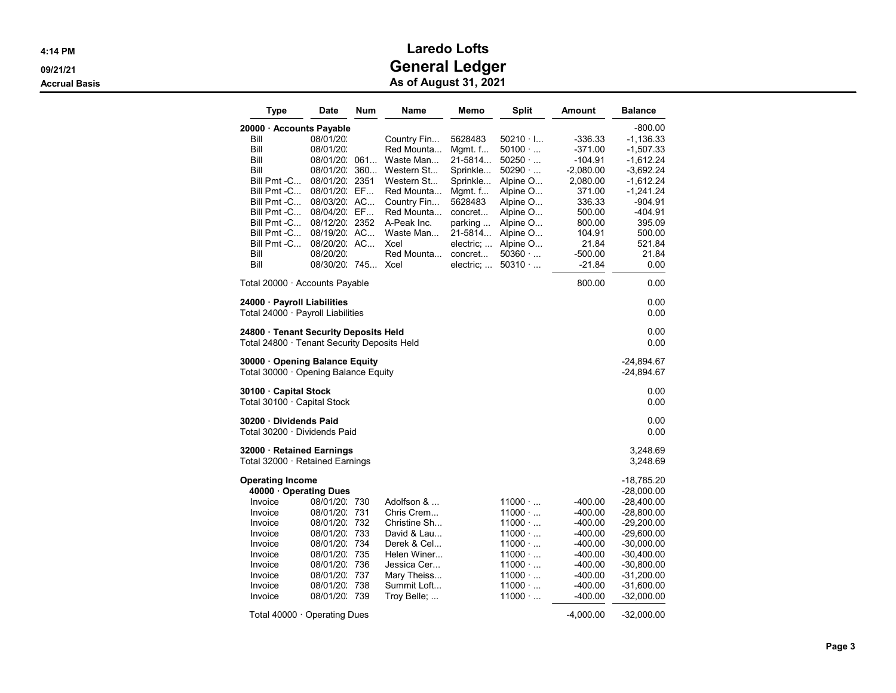| Type                                                                                                                                                                                            | Date                                                                                                                                                                                          | Num                                                  | <b>Name</b>                                                                                                                                                             | Memo                                                                                                                                              | <b>Split</b>                                                                                                                                                                     | Amount                                                                                                                                     | <b>Balance</b>                                                                                                                                                                                       |
|-------------------------------------------------------------------------------------------------------------------------------------------------------------------------------------------------|-----------------------------------------------------------------------------------------------------------------------------------------------------------------------------------------------|------------------------------------------------------|-------------------------------------------------------------------------------------------------------------------------------------------------------------------------|---------------------------------------------------------------------------------------------------------------------------------------------------|----------------------------------------------------------------------------------------------------------------------------------------------------------------------------------|--------------------------------------------------------------------------------------------------------------------------------------------|------------------------------------------------------------------------------------------------------------------------------------------------------------------------------------------------------|
| 20000 · Accounts Payable<br>Bill<br>Bill<br>Bill<br>Bill<br>Bill Pmt -C<br>Bill Pmt -C<br>Bill Pmt -C<br>Bill Pmt -C<br>Bill Pmt -C<br>Bill Pmt -C<br>Bill Pmt -C<br>Bill<br>Bill               | 08/01/20:<br>08/01/20:<br>08/01/20.<br>08/01/20:<br>08/01/20.<br>08/01/20: EF<br>08/03/20: AC<br>08/04/20: EF<br>08/12/20: 2352<br>08/19/20: AC<br>08/20/20. AC<br>08/20/20:<br>08/30/20: 745 | 061<br>360<br>2351                                   | Country Fin<br>Red Mounta<br>Waste Man<br>Western St<br>Western St<br>Red Mounta<br>Country Fin<br>Red Mounta<br>A-Peak Inc.<br>Waste Man<br>Xcel<br>Red Mounta<br>Xcel | 5628483<br>Mgmt. f<br>21-5814<br>Sprinkle<br>Sprinkle<br>Mgmt. f<br>5628483<br>concret<br>parking<br>21-5814<br>electric:<br>concret<br>electric; | $50210 \cdot$ I<br>$50100 \cdot $<br>50250<br>50290<br>Alpine O<br>Alpine O<br>Alpine O<br>Alpine O<br>Alpine O<br>Alpine O<br>Alpine O<br>50360<br>50310                        | -336.33<br>-371.00<br>-104.91<br>$-2,080.00$<br>2,080.00<br>371.00<br>336.33<br>500.00<br>800.00<br>104.91<br>21.84<br>-500.00<br>$-21.84$ | -800.00<br>$-1,136.33$<br>$-1,507.33$<br>$-1,612.24$<br>$-3,692.24$<br>$-1,612.24$<br>$-1,241.24$<br>-904.91<br>-404.91<br>395.09<br>500.00<br>521.84<br>21.84<br>0.00                               |
| Total 20000 · Accounts Payable                                                                                                                                                                  |                                                                                                                                                                                               |                                                      |                                                                                                                                                                         |                                                                                                                                                   |                                                                                                                                                                                  | 800.00                                                                                                                                     | 0.00                                                                                                                                                                                                 |
| 24000 Payroll Liabilities<br>Total 24000 · Payroll Liabilities                                                                                                                                  |                                                                                                                                                                                               |                                                      |                                                                                                                                                                         |                                                                                                                                                   |                                                                                                                                                                                  |                                                                                                                                            |                                                                                                                                                                                                      |
| 24800 Tenant Security Deposits Held<br>Total 24800 · Tenant Security Deposits Held                                                                                                              |                                                                                                                                                                                               |                                                      |                                                                                                                                                                         |                                                                                                                                                   |                                                                                                                                                                                  |                                                                                                                                            |                                                                                                                                                                                                      |
| 30000 Opening Balance Equity<br>Total 30000 · Opening Balance Equity                                                                                                                            |                                                                                                                                                                                               |                                                      |                                                                                                                                                                         |                                                                                                                                                   |                                                                                                                                                                                  |                                                                                                                                            | -24,894.67<br>$-24,894.67$                                                                                                                                                                           |
| 30100 Capital Stock<br>Total 30100 · Capital Stock                                                                                                                                              |                                                                                                                                                                                               |                                                      |                                                                                                                                                                         |                                                                                                                                                   |                                                                                                                                                                                  |                                                                                                                                            | 0.00<br>0.00                                                                                                                                                                                         |
| 30200 Dividends Paid<br>Total 30200 · Dividends Paid                                                                                                                                            |                                                                                                                                                                                               |                                                      |                                                                                                                                                                         |                                                                                                                                                   |                                                                                                                                                                                  |                                                                                                                                            | 0.00<br>0.00                                                                                                                                                                                         |
| 32000 · Retained Earnings<br>Total 32000 · Retained Earnings                                                                                                                                    |                                                                                                                                                                                               |                                                      |                                                                                                                                                                         |                                                                                                                                                   |                                                                                                                                                                                  |                                                                                                                                            | 3,248.69<br>3,248.69                                                                                                                                                                                 |
| <b>Operating Income</b><br>40000 · Operating Dues<br>Invoice<br>Invoice<br>Invoice<br>Invoice<br>Invoice<br>Invoice<br>Invoice<br>Invoice<br>Invoice<br>Invoice<br>Total 40000 · Operating Dues | 08/01/20: 730<br>08/01/20:<br>08/01/20:<br>08/01/20:<br>08/01/20:<br>08/01/20:<br>08/01/20:<br>08/01/20:<br>08/01/20:<br>08/01/20: 739                                                        | 731<br>732<br>733<br>734<br>735<br>736<br>737<br>738 | Adolfson &<br>Chris Crem<br>Christine Sh<br>David & Lau<br>Derek & Cel<br>Helen Winer<br>Jessica Cer<br>Mary Theiss<br>Summit Loft<br>Troy Belle; …                     |                                                                                                                                                   | $11000 \cdot $<br>$11000 \cdot $<br>$11000 \cdot $<br>$11000 \cdot $<br>$11000 \cdot $<br>$11000 \cdot $<br>$11000 \cdot $<br>$11000 \cdot $<br>$11000 \cdot $<br>$11000 \cdot $ | -400.00<br>-400.00<br>-400.00<br>-400.00<br>-400.00<br>-400.00<br>-400.00<br>-400.00<br>$-400.00$<br>-400.00<br>$-4,000.00$                | -18,785.20<br>$-28,000.00$<br>-28,400.00<br>$-28,800.00$<br>-29,200.00<br>$-29,600.00$<br>$-30,000.00$<br>$-30,400.00$<br>$-30,800.00$<br>-31,200.00<br>$-31,600.00$<br>$-32,000.00$<br>$-32,000.00$ |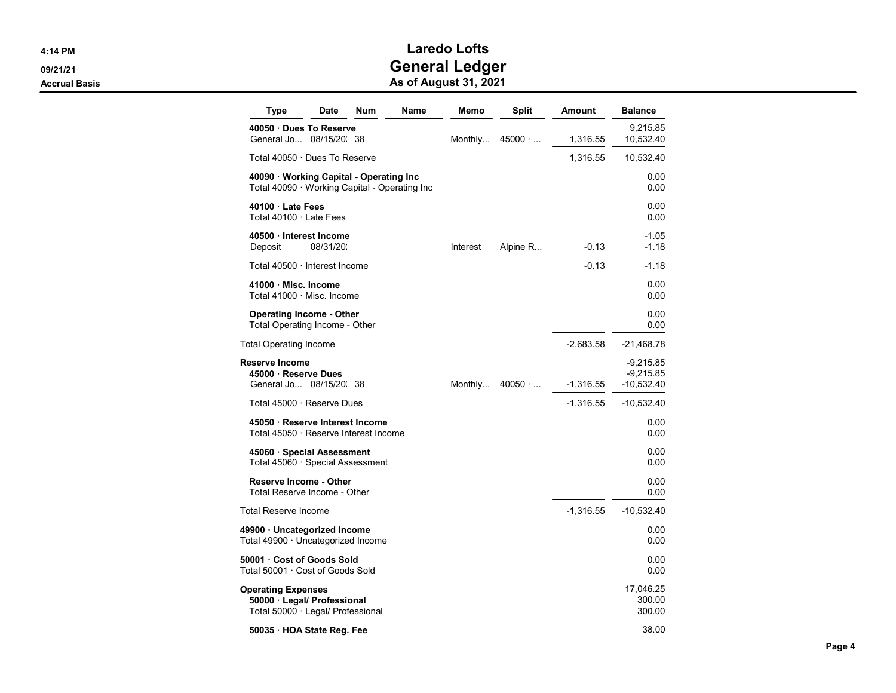| Type                                                                                   | Date      | Num | Name | Memo     | Split          | Amount      | <b>Balance</b>                           |
|----------------------------------------------------------------------------------------|-----------|-----|------|----------|----------------|-------------|------------------------------------------|
| 40050 Dues To Reserve<br>General Jo 08/15/20. 38                                       |           |     |      | Monthly  | $45000 \cdot $ | 1,316.55    | 9,215.85<br>10,532.40                    |
| Total 40050 · Dues To Reserve                                                          |           |     |      |          |                | 1,316.55    | 10,532.40                                |
| 40090 Working Capital - Operating Inc<br>Total 40090 · Working Capital - Operating Inc |           |     |      |          |                |             | 0.00<br>0.00                             |
| 40100 Late Fees<br>Total 40100 · Late Fees                                             |           |     |      |          |                |             | 0.00<br>0.00                             |
| 40500 · Interest Income<br>Deposit                                                     | 08/31/20: |     |      | Interest | Alpine R       | $-0.13$     | $-1.05$<br>$-1.18$                       |
| Total 40500 · Interest Income                                                          |           |     |      |          |                | $-0.13$     | $-1.18$                                  |
| 41000 · Misc. Income<br>Total 41000 · Misc. Income                                     |           |     |      |          |                |             | 0.00<br>0.00                             |
| <b>Operating Income - Other</b><br>Total Operating Income - Other                      |           |     |      |          |                |             | 0.00<br>0.00                             |
| Total Operating Income                                                                 |           |     |      |          |                | $-2,683.58$ | $-21,468.78$                             |
| <b>Reserve Income</b><br>45000 · Reserve Dues<br>General Jo 08/15/20. 38               |           |     |      | Monthly  | 40050          | $-1,316.55$ | $-9,215.85$<br>$-9,215.85$<br>-10,532.40 |
| Total 45000 · Reserve Dues                                                             |           |     |      |          |                | $-1,316.55$ | -10,532.40                               |
| 45050 · Reserve Interest Income<br>Total 45050 · Reserve Interest Income               |           |     |      |          |                |             | 0.00<br>0.00                             |
| 45060 · Special Assessment<br>Total 45060 · Special Assessment                         |           |     |      |          |                |             | 0.00<br>0.00                             |
| <b>Reserve Income - Other</b><br>Total Reserve Income - Other                          |           |     |      |          |                |             | 0.00<br>0.00                             |
| Total Reserve Income                                                                   |           |     |      |          |                | $-1,316.55$ | $-10,532.40$                             |
| 49900 · Uncategorized Income<br>Total 49900 · Uncategorized Income                     |           |     |      |          |                |             | 0.00<br>0.00                             |
| 50001 · Cost of Goods Sold<br>Total 50001 · Cost of Goods Sold                         |           |     |      |          |                |             | 0.00<br>0.00                             |
| Operating Expenses<br>50000 · Legal/ Professional<br>Total 50000 · Legal/ Professional |           |     |      |          |                |             | 17,046.25<br>300.00<br>300.00            |
| 50035 HOA State Reg. Fee                                                               |           |     |      |          |                |             | 38.00                                    |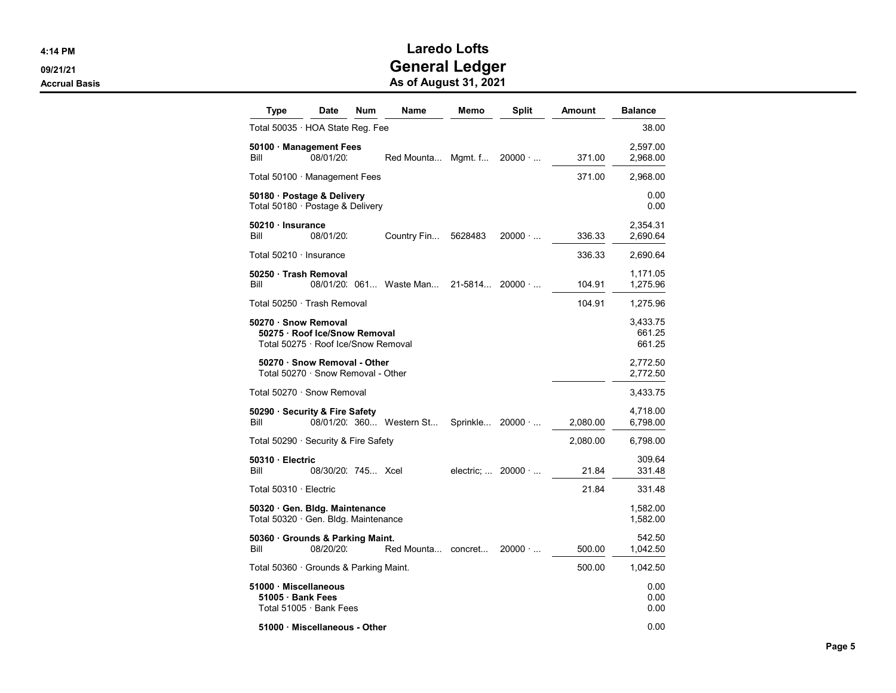| Type                                                                                         | <b>Date</b>                                                      | <b>Num</b> | Name                    | Memo     | Split                             | Amount   | <b>Balance</b>       |  |
|----------------------------------------------------------------------------------------------|------------------------------------------------------------------|------------|-------------------------|----------|-----------------------------------|----------|----------------------|--|
| Total 50035 · HOA State Reg. Fee                                                             |                                                                  |            |                         |          |                                   |          | 38.00                |  |
| 50100 Management Fees<br>Bill                                                                | 08/01/20:                                                        |            | Red Mounta              | Mgmt. f  | $20000 \cdot $                    | 371.00   | 2,597.00<br>2,968.00 |  |
| Total 50100 · Management Fees                                                                |                                                                  |            |                         |          |                                   | 371.00   | 2,968.00             |  |
| 50180 · Postage & Delivery<br>Total 50180 · Postage & Delivery                               |                                                                  |            |                         |          |                                   |          | 0.00<br>0.00         |  |
| 50210 Insurance<br>Bill                                                                      | 08/01/20:                                                        |            | Country Fin             | 5628483  | $20000 \cdot $                    | 336.33   | 2,354.31<br>2,690.64 |  |
| Total 50210 · Insurance                                                                      |                                                                  |            |                         |          |                                   | 336.33   | 2,690.64             |  |
| 50250 · Trash Removal<br>Bill                                                                |                                                                  |            | 08/01/20: 061 Waste Man | 21-5814  | $20000 \cdot $                    | 104.91   | 1,171.05<br>1,275.96 |  |
| Total 50250 · Trash Removal                                                                  |                                                                  |            |                         |          |                                   | 104.91   | 1,275.96             |  |
| 50270 · Snow Removal<br>50275 · Roof Ice/Snow Removal<br>Total 50275 · Roof Ice/Snow Removal |                                                                  |            |                         |          |                                   |          |                      |  |
|                                                                                              | 50270 Snow Removal - Other<br>Total 50270 · Snow Removal - Other |            |                         |          |                                   |          | 2,772.50<br>2,772.50 |  |
| Total 50270 · Snow Removal                                                                   |                                                                  |            |                         |          |                                   |          | 3,433.75             |  |
| 50290 · Security & Fire Safety<br>Bill                                                       |                                                                  |            | 08/01/20 360 Western St | Sprinkle | $20000 \cdot $                    | 2,080.00 | 4,718.00<br>6,798.00 |  |
| Total 50290 · Security & Fire Safety                                                         |                                                                  |            |                         |          |                                   | 2,080.00 | 6,798.00             |  |
| 50310 Electric<br>Bill                                                                       | 08/30/20 745  Xcel                                               |            |                         |          | electric; $\ldots$ 20000 $\ldots$ | 21.84    | 309.64<br>331.48     |  |
| Total 50310 · Electric                                                                       |                                                                  |            |                         |          |                                   | 21.84    | 331.48               |  |
| 50320 Gen. Bldg. Maintenance<br>Total 50320 · Gen. Bldg. Maintenance                         |                                                                  |            |                         |          |                                   |          | 1,582.00<br>1,582.00 |  |
| 50360 · Grounds & Parking Maint.<br>Bill                                                     | 08/20/20.                                                        |            | Red Mounta concret      |          | $20000 \cdot $                    | 500.00   | 542.50<br>1,042.50   |  |
| Total 50360 Grounds & Parking Maint.                                                         |                                                                  |            |                         |          |                                   | 500.00   | 1,042.50             |  |
| 51000 Miscellaneous<br>51005 · Bank Fees                                                     | Total 51005 · Bank Fees                                          |            |                         |          |                                   |          | 0.00<br>0.00<br>0.00 |  |
|                                                                                              | 51000 Miscellaneous - Other                                      |            |                         |          |                                   |          | 0.00                 |  |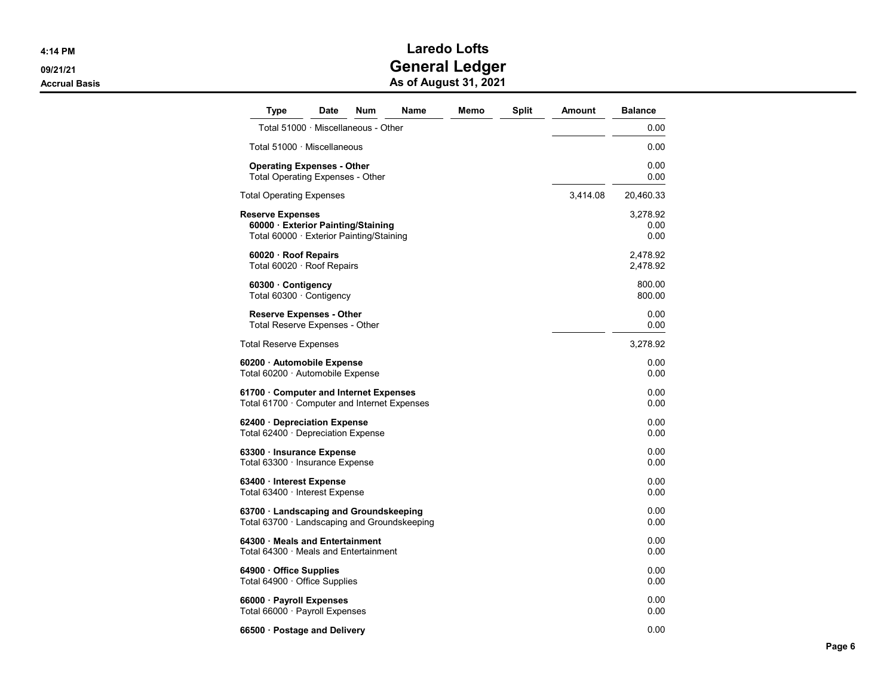| Type                                                                                                    | Date | Num | Name | Memo | Split | Amount   | <b>Balance</b>           |
|---------------------------------------------------------------------------------------------------------|------|-----|------|------|-------|----------|--------------------------|
| Total 51000 · Miscellaneous - Other                                                                     |      |     |      |      |       |          | 0.00                     |
| Total 51000 · Miscellaneous                                                                             |      |     |      |      |       |          | 0.00                     |
| <b>Operating Expenses - Other</b><br><b>Total Operating Expenses - Other</b>                            |      |     |      |      |       |          | 0.00<br>0.00             |
| <b>Total Operating Expenses</b>                                                                         |      |     |      |      |       | 3,414.08 | 20,460.33                |
| <b>Reserve Expenses</b><br>60000 Exterior Painting/Staining<br>Total 60000 · Exterior Painting/Staining |      |     |      |      |       |          | 3,278.92<br>0.00<br>0.00 |
| 60020 · Roof Repairs<br>Total 60020 $\cdot$ Roof Repairs                                                |      |     |      |      |       |          | 2,478.92<br>2,478.92     |
| 60300 Contigency<br>Total 60300 · Contigency                                                            |      |     |      |      |       |          | 800.00<br>800.00         |
| <b>Reserve Expenses - Other</b><br>Total Reserve Expenses - Other                                       |      |     |      |      |       |          | 0.00<br>0.00             |
| <b>Total Reserve Expenses</b>                                                                           |      |     |      |      |       |          | 3,278.92                 |
| 60200 · Automobile Expense<br>Total 60200 · Automobile Expense                                          |      |     |      |      |       |          | 0.00<br>0.00             |
| 61700 Computer and Internet Expenses<br>Total 61700 · Computer and Internet Expenses                    |      |     |      |      |       |          | 0.00<br>0.00             |
| 62400 · Depreciation Expense<br>Total $62400 \cdot$ Depreciation Expense                                |      |     |      |      |       |          | 0.00<br>0.00             |
| 63300 · Insurance Expense<br>Total 63300 · Insurance Expense                                            |      |     |      |      |       |          | 0.00<br>0.00             |
| 63400 · Interest Expense<br>Total 63400 · Interest Expense                                              |      |     |      |      |       |          | 0.00<br>0.00             |
| 63700 Landscaping and Groundskeeping<br>Total $63700 \cdot$ Landscaping and Groundskeeping              |      |     |      |      |       |          | 0.00<br>0.00             |
| 64300 Meals and Entertainment<br>Total 64300 · Meals and Entertainment                                  |      |     |      |      |       |          | 0.00<br>0.00             |
| 64900 Office Supplies<br>Total 64900 · Office Supplies                                                  |      |     |      |      |       |          | 0.00<br>0.00             |
| 66000 · Payroll Expenses<br>Total $66000 \cdot$ Payroll Expenses                                        |      |     |      |      |       |          | 0.00<br>0.00             |
| 66500 · Postage and Delivery                                                                            |      |     |      |      |       |          | 0.00                     |